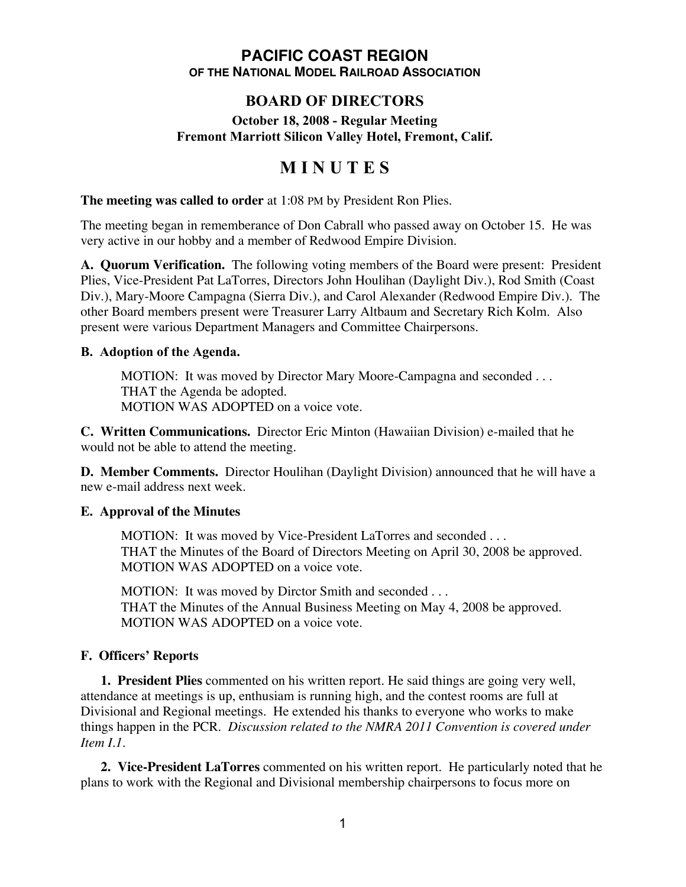### **PACIFIC COAST REGION OF THE NATIONAL MODEL RAILROAD ASSOCIATION**

# **BOARD OF DIRECTORS**

### **October 18, 2008 - Regular Meeting Fremont Marriott Silicon Valley Hotel, Fremont, Calif.**

# **M I N U T E S**

**The meeting was called to order** at 1:08 PM by President Ron Plies.

The meeting began in rememberance of Don Cabrall who passed away on October 15. He was very active in our hobby and a member of Redwood Empire Division.

**A. Quorum Verification.** The following voting members of the Board were present: President Plies, Vice-President Pat LaTorres, Directors John Houlihan (Daylight Div.), Rod Smith (Coast Div.), Mary-Moore Campagna (Sierra Div.), and Carol Alexander (Redwood Empire Div.). The other Board members present were Treasurer Larry Altbaum and Secretary Rich Kolm. Also present were various Department Managers and Committee Chairpersons.

### **B. Adoption of the Agenda.**

MOTION: It was moved by Director Mary Moore-Campagna and seconded . . . THAT the Agenda be adopted. MOTION WAS ADOPTED on a voice vote.

**C. Written Communications.** Director Eric Minton (Hawaiian Division) e-mailed that he would not be able to attend the meeting.

**D. Member Comments.** Director Houlihan (Daylight Division) announced that he will have a new e-mail address next week.

# **E. Approval of the Minutes**

MOTION: It was moved by Vice-President LaTorres and seconded . . . THAT the Minutes of the Board of Directors Meeting on April 30, 2008 be approved. MOTION WAS ADOPTED on a voice vote.

MOTION: It was moved by Dirctor Smith and seconded . . . THAT the Minutes of the Annual Business Meeting on May 4, 2008 be approved. MOTION WAS ADOPTED on a voice vote.

# **F. Officers' Reports**

**1. President Plies** commented on his written report. He said things are going very well, attendance at meetings is up, enthusiam is running high, and the contest rooms are full at Divisional and Regional meetings. He extended his thanks to everyone who works to make things happen in the PCR. *Discussion related to the NMRA 2011 Convention is covered under Item I.1.*

**2. Vice-President LaTorres** commented on his written report. He particularly noted that he plans to work with the Regional and Divisional membership chairpersons to focus more on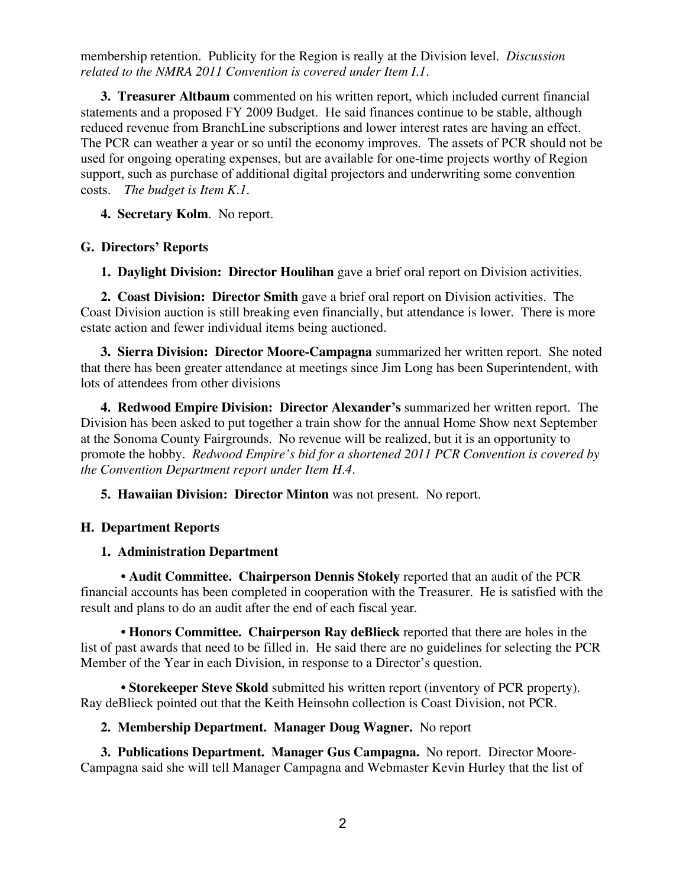membership retention. Publicity for the Region is really at the Division level. *Discussion related to the NMRA 2011 Convention is covered under Item I.1.*

**3. Treasurer Altbaum** commented on his written report, which included current financial statements and a proposed FY 2009 Budget. He said finances continue to be stable, although reduced revenue from BranchLine subscriptions and lower interest rates are having an effect. The PCR can weather a year or so until the economy improves. The assets of PCR should not be used for ongoing operating expenses, but are available for one-time projects worthy of Region support, such as purchase of additional digital projectors and underwriting some convention costs. *The budget is Item K.1.*

**4. Secretary Kolm**. No report.

### **G. Directors' Reports**

**1. Daylight Division: Director Houlihan** gave a brief oral report on Division activities.

**2. Coast Division: Director Smith** gave a brief oral report on Division activities. The Coast Division auction is still breaking even financially, but attendance is lower. There is more estate action and fewer individual items being auctioned.

**3. Sierra Division: Director Moore-Campagna** summarized her written report. She noted that there has been greater attendance at meetings since Jim Long has been Superintendent, with lots of attendees from other divisions

**4. Redwood Empire Division: Director Alexander's** summarized her written report. The Division has been asked to put together a train show for the annual Home Show next September at the Sonoma County Fairgrounds. No revenue will be realized, but it is an opportunity to promote the hobby. *Redwood Empire's bid for a shortened 2011 PCR Convention is covered by the Convention Department report under Item H.4.*

**5. Hawaiian Division: Director Minton** was not present. No report.

### **H. Department Reports**

#### **1. Administration Department**

**• Audit Committee. Chairperson Dennis Stokely** reported that an audit of the PCR financial accounts has been completed in cooperation with the Treasurer. He is satisfied with the result and plans to do an audit after the end of each fiscal year.

**• Honors Committee. Chairperson Ray deBlieck** reported that there are holes in the list of past awards that need to be filled in. He said there are no guidelines for selecting the PCR Member of the Year in each Division, in response to a Director's question.

**• Storekeeper Steve Skold** submitted his written report (inventory of PCR property). Ray deBlieck pointed out that the Keith Heinsohn collection is Coast Division, not PCR.

#### **2. Membership Department. Manager Doug Wagner.** No report

**3. Publications Department. Manager Gus Campagna.** No report. Director Moore-Campagna said she will tell Manager Campagna and Webmaster Kevin Hurley that the list of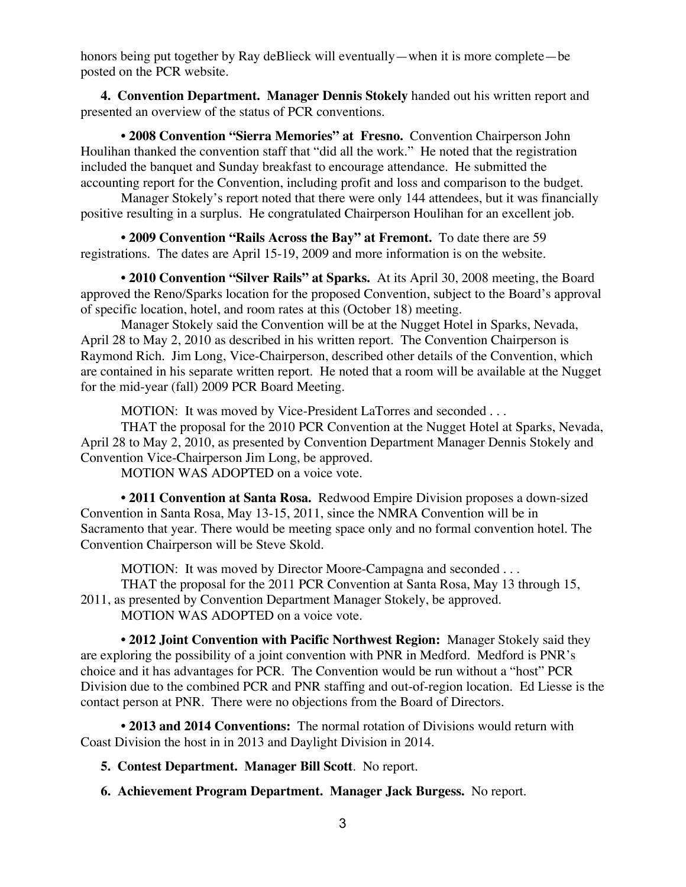honors being put together by Ray deBlieck will eventually—when it is more complete—be posted on the PCR website.

**4. Convention Department. Manager Dennis Stokely** handed out his written report and presented an overview of the status of PCR conventions.

• **2008 Convention "Sierra Memories" at Fresno.** Convention Chairperson John Houlihan thanked the convention staff that "did all the work." He noted that the registration included the banquet and Sunday breakfast to encourage attendance. He submitted the accounting report for the Convention, including profit and loss and comparison to the budget.

Manager Stokely's report noted that there were only 144 attendees, but it was financially positive resulting in a surplus. He congratulated Chairperson Houlihan for an excellent job.

**• 2009 Convention "Rails Across the Bay" at Fremont.** To date there are 59 registrations. The dates are April 15-19, 2009 and more information is on the website.

• **2010 Convention "Silver Rails" at Sparks.** At its April 30, 2008 meeting, the Board approved the Reno/Sparks location for the proposed Convention, subject to the Board's approval of specific location, hotel, and room rates at this (October 18) meeting.

Manager Stokely said the Convention will be at the Nugget Hotel in Sparks, Nevada, April 28 to May 2, 2010 as described in his written report. The Convention Chairperson is Raymond Rich. Jim Long, Vice-Chairperson, described other details of the Convention, which are contained in his separate written report. He noted that a room will be available at the Nugget for the mid-year (fall) 2009 PCR Board Meeting.

MOTION: It was moved by Vice-President LaTorres and seconded . . .

THAT the proposal for the 2010 PCR Convention at the Nugget Hotel at Sparks, Nevada, April 28 to May 2, 2010, as presented by Convention Department Manager Dennis Stokely and Convention Vice-Chairperson Jim Long, be approved.

MOTION WAS ADOPTED on a voice vote.

**• 2011 Convention at Santa Rosa.** Redwood Empire Division proposes a down-sized Convention in Santa Rosa, May 13-15, 2011, since the NMRA Convention will be in Sacramento that year. There would be meeting space only and no formal convention hotel. The Convention Chairperson will be Steve Skold.

MOTION: It was moved by Director Moore-Campagna and seconded . . .

THAT the proposal for the 2011 PCR Convention at Santa Rosa, May 13 through 15,

2011, as presented by Convention Department Manager Stokely, be approved.

MOTION WAS ADOPTED on a voice vote.

**• 2012 Joint Convention with Pacific Northwest Region:** Manager Stokely said they are exploring the possibility of a joint convention with PNR in Medford. Medford is PNR's choice and it has advantages for PCR. The Convention would be run without a "host" PCR Division due to the combined PCR and PNR staffing and out-of-region location. Ed Liesse is the contact person at PNR. There were no objections from the Board of Directors.

**• 2013 and 2014 Conventions:** The normal rotation of Divisions would return with Coast Division the host in in 2013 and Daylight Division in 2014.

**5. Contest Department. Manager Bill Scott**. No report.

**6. Achievement Program Department. Manager Jack Burgess.** No report.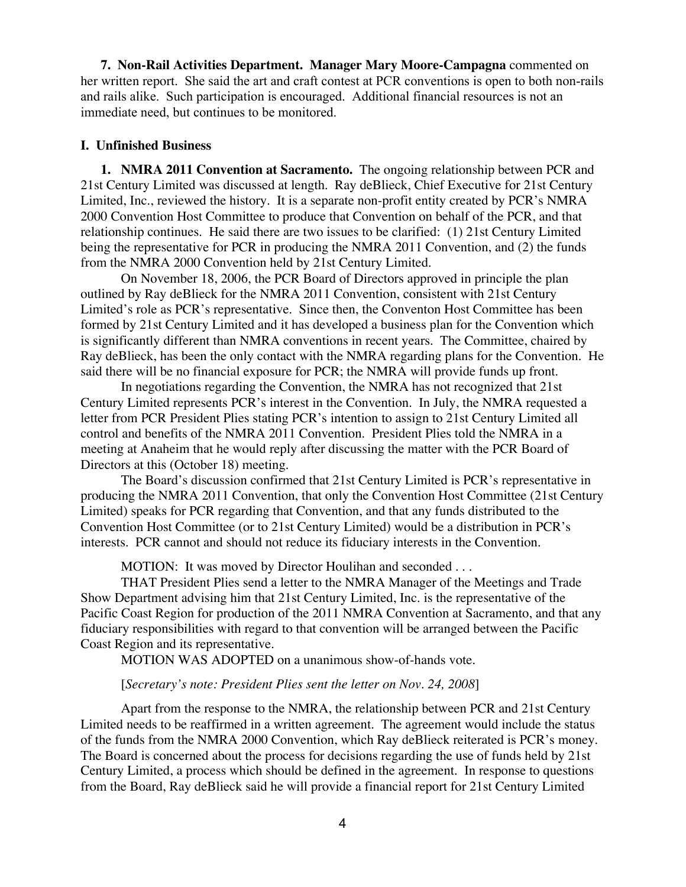**7. Non-Rail Activities Department. Manager Mary Moore-Campagna** commented on her written report. She said the art and craft contest at PCR conventions is open to both non-rails and rails alike. Such participation is encouraged. Additional financial resources is not an immediate need, but continues to be monitored.

#### **I. Unfinished Business**

**1. NMRA 2011 Convention at Sacramento.** The ongoing relationship between PCR and 21st Century Limited was discussed at length. Ray deBlieck, Chief Executive for 21st Century Limited, Inc., reviewed the history. It is a separate non-profit entity created by PCR's NMRA 2000 Convention Host Committee to produce that Convention on behalf of the PCR, and that relationship continues. He said there are two issues to be clarified: (1) 21st Century Limited being the representative for PCR in producing the NMRA 2011 Convention, and (2) the funds from the NMRA 2000 Convention held by 21st Century Limited.

On November 18, 2006, the PCR Board of Directors approved in principle the plan outlined by Ray deBlieck for the NMRA 2011 Convention, consistent with 21st Century Limited's role as PCR's representative. Since then, the Conventon Host Committee has been formed by 21st Century Limited and it has developed a business plan for the Convention which is significantly different than NMRA conventions in recent years. The Committee, chaired by Ray deBlieck, has been the only contact with the NMRA regarding plans for the Convention. He said there will be no financial exposure for PCR; the NMRA will provide funds up front.

In negotiations regarding the Convention, the NMRA has not recognized that 21st Century Limited represents PCR's interest in the Convention. In July, the NMRA requested a letter from PCR President Plies stating PCR's intention to assign to 21st Century Limited all control and benefits of the NMRA 2011 Convention. President Plies told the NMRA in a meeting at Anaheim that he would reply after discussing the matter with the PCR Board of Directors at this (October 18) meeting.

The Board's discussion confirmed that 21st Century Limited is PCR's representative in producing the NMRA 2011 Convention, that only the Convention Host Committee (21st Century Limited) speaks for PCR regarding that Convention, and that any funds distributed to the Convention Host Committee (or to 21st Century Limited) would be a distribution in PCR's interests. PCR cannot and should not reduce its fiduciary interests in the Convention.

MOTION: It was moved by Director Houlihan and seconded . . .

THAT President Plies send a letter to the NMRA Manager of the Meetings and Trade Show Department advising him that 21st Century Limited, Inc. is the representative of the Pacific Coast Region for production of the 2011 NMRA Convention at Sacramento, and that any fiduciary responsibilities with regard to that convention will be arranged between the Pacific Coast Region and its representative.

MOTION WAS ADOPTED on a unanimous show-of-hands vote.

#### [*Secretary's note: President Plies sent the letter on Nov. 24, 2008*]

Apart from the response to the NMRA, the relationship between PCR and 21st Century Limited needs to be reaffirmed in a written agreement. The agreement would include the status of the funds from the NMRA 2000 Convention, which Ray deBlieck reiterated is PCR's money. The Board is concerned about the process for decisions regarding the use of funds held by 21st Century Limited, a process which should be defined in the agreement. In response to questions from the Board, Ray deBlieck said he will provide a financial report for 21st Century Limited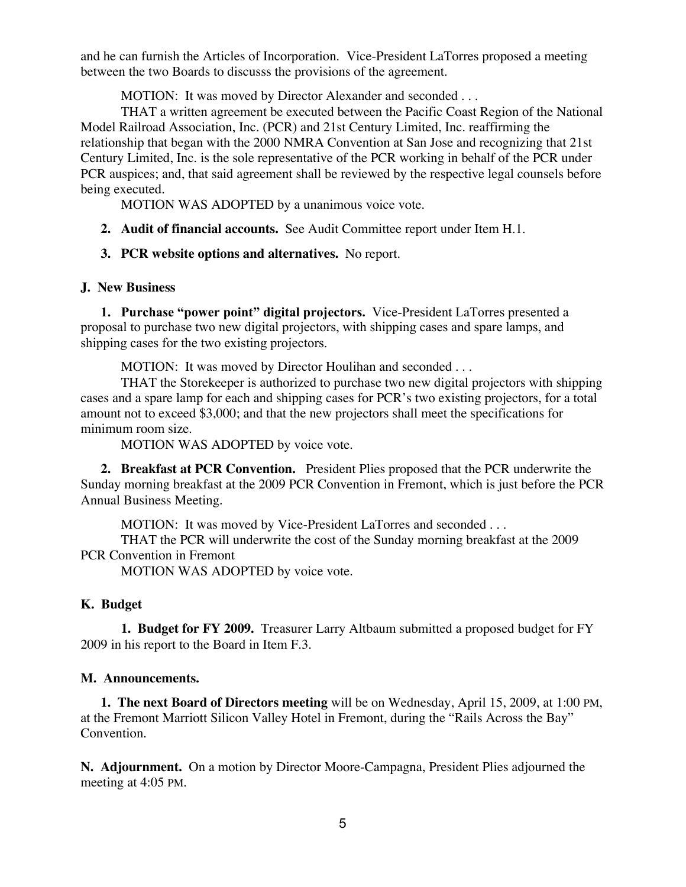and he can furnish the Articles of Incorporation. Vice-President LaTorres proposed a meeting between the two Boards to discusss the provisions of the agreement.

MOTION: It was moved by Director Alexander and seconded . . .

THAT a written agreement be executed between the Pacific Coast Region of the National Model Railroad Association, Inc. (PCR) and 21st Century Limited, Inc. reaffirming the relationship that began with the 2000 NMRA Convention at San Jose and recognizing that 21st Century Limited, Inc. is the sole representative of the PCR working in behalf of the PCR under PCR auspices; and, that said agreement shall be reviewed by the respective legal counsels before being executed.

MOTION WAS ADOPTED by a unanimous voice vote.

- **2. Audit of financial accounts.** See Audit Committee report under Item H.1.
- **3. PCR website options and alternatives.** No report.

# **J. New Business**

**1. Purchase "power point" digital projectors.** Vice-President LaTorres presented a proposal to purchase two new digital projectors, with shipping cases and spare lamps, and shipping cases for the two existing projectors.

MOTION: It was moved by Director Houlihan and seconded . . .

THAT the Storekeeper is authorized to purchase two new digital projectors with shipping cases and a spare lamp for each and shipping cases for PCR's two existing projectors, for a total amount not to exceed \$3,000; and that the new projectors shall meet the specifications for minimum room size.

MOTION WAS ADOPTED by voice vote.

**2. Breakfast at PCR Convention.** President Plies proposed that the PCR underwrite the Sunday morning breakfast at the 2009 PCR Convention in Fremont, which is just before the PCR Annual Business Meeting.

MOTION: It was moved by Vice-President LaTorres and seconded . . .

THAT the PCR will underwrite the cost of the Sunday morning breakfast at the 2009 PCR Convention in Fremont

MOTION WAS ADOPTED by voice vote.

# **K. Budget**

**1. Budget for FY 2009.** Treasurer Larry Altbaum submitted a proposed budget for FY 2009 in his report to the Board in Item F.3.

# **M. Announcements.**

**1. The next Board of Directors meeting** will be on Wednesday, April 15, 2009, at 1:00 PM, at the Fremont Marriott Silicon Valley Hotel in Fremont, during the "Rails Across the Bay" Convention.

**N. Adjournment.** On a motion by Director Moore-Campagna, President Plies adjourned the meeting at 4:05 PM.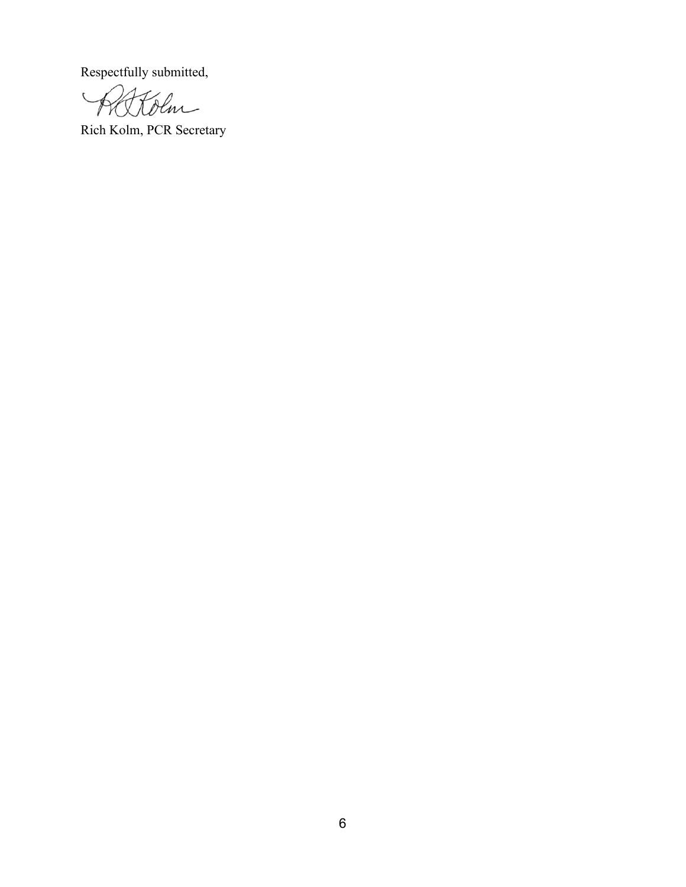Respectfully submitted,

Kolm  $\overline{\phantom{a}}$ 

Rich Kolm, PCR Secretary